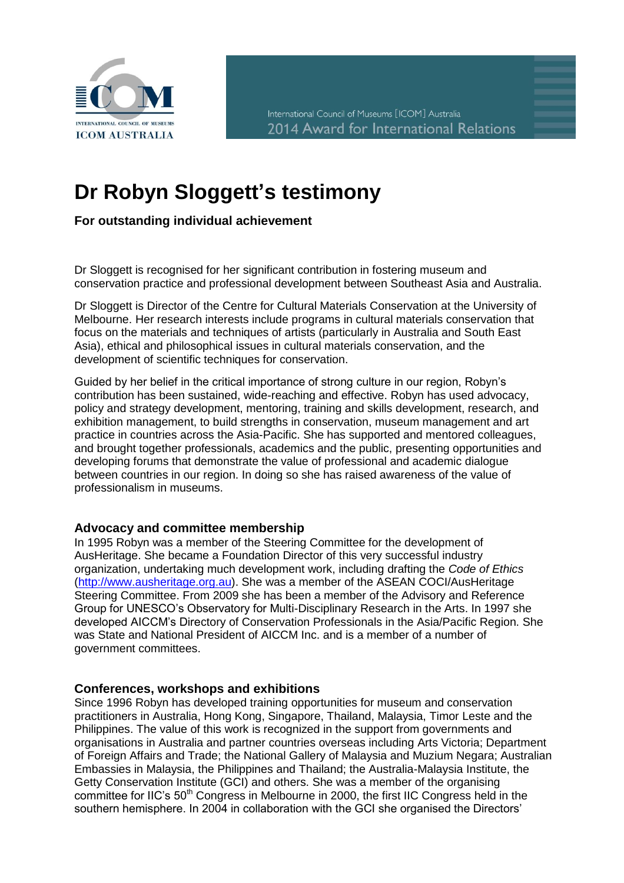

# **Dr Robyn Sloggett's testimony**

**For outstanding individual achievement**

Dr Sloggett is recognised for her significant contribution in fostering museum and conservation practice and professional development between Southeast Asia and Australia.

Dr Sloggett is Director of the Centre for Cultural Materials Conservation at the University of Melbourne. Her research interests include programs in cultural materials conservation that focus on the materials and techniques of artists (particularly in Australia and South East Asia), ethical and philosophical issues in cultural materials conservation, and the development of scientific techniques for conservation.

Guided by her belief in the critical importance of strong culture in our region, Robyn's contribution has been sustained, wide-reaching and effective. Robyn has used advocacy, policy and strategy development, mentoring, training and skills development, research, and exhibition management, to build strengths in conservation, museum management and art practice in countries across the Asia-Pacific. She has supported and mentored colleagues, and brought together professionals, academics and the public, presenting opportunities and developing forums that demonstrate the value of professional and academic dialogue between countries in our region. In doing so she has raised awareness of the value of professionalism in museums.

## **Advocacy and committee membership**

In 1995 Robyn was a member of the Steering Committee for the development of AusHeritage. She became a Foundation Director of this very successful industry organization, undertaking much development work, including drafting the *Code of Ethics* [\(http://www.ausheritage.org.au\)](http://www.ausheritage.org.au/). She was a member of the ASEAN COCI/AusHeritage Steering Committee. From 2009 she has been a member of the Advisory and Reference Group for UNESCO's Observatory for Multi-Disciplinary Research in the Arts. In 1997 she developed AICCM's Directory of Conservation Professionals in the Asia/Pacific Region. She was State and National President of AICCM Inc. and is a member of a number of government committees.

#### **Conferences, workshops and exhibitions**

Since 1996 Robyn has developed training opportunities for museum and conservation practitioners in Australia, Hong Kong, Singapore, Thailand, Malaysia, Timor Leste and the Philippines. The value of this work is recognized in the support from governments and organisations in Australia and partner countries overseas including Arts Victoria; Department of Foreign Affairs and Trade; the National Gallery of Malaysia and Muzium Negara; Australian Embassies in Malaysia, the Philippines and Thailand; the Australia-Malaysia Institute, the Getty Conservation Institute (GCI) and others. She was a member of the organising committee for IIC's 50<sup>th</sup> Congress in Melbourne in 2000, the first IIC Congress held in the southern hemisphere. In 2004 in collaboration with the GCI she organised the Directors'